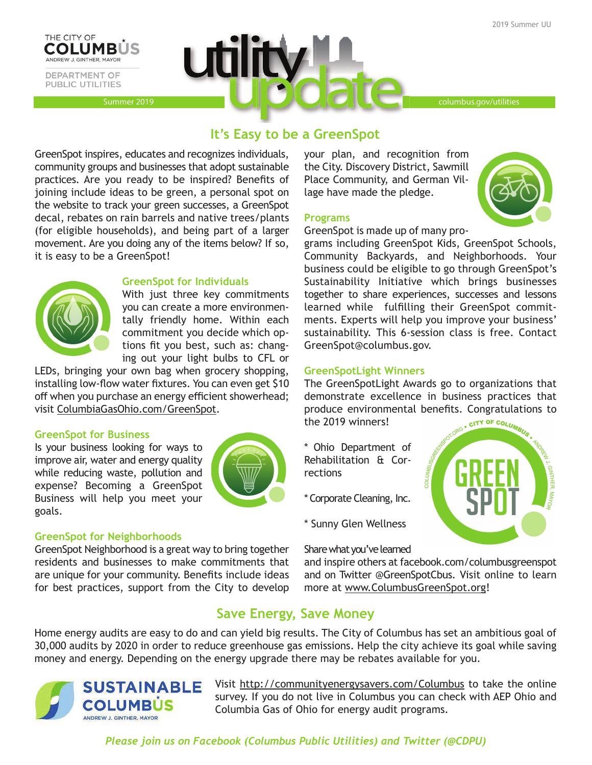



# **It's Easy to be a GreenSpot**

GreenSpot inspires, educates and recognizes individuals, community groups and businesses that adopt sustainable practices. Are you ready to be inspired? Benefits of joining include ideas to be green, a personal spot on the website to track your green successes, a GreenSpot decal, rebates on rain barrels and native trees/plants (for eligible households), and being part of a larger movement. Are you doing any of the items below? If so, it is easy to be a GreenSpot!



## **GreenSpot for Individuals**

With just three key commitments you can create a more environmentally friendly home. Within each commitment you decide which options fit you best, such as: changing out your light bulbs to CFL or

LEDs, bringing your own bag when grocery shopping, installing low-flow water fixtures. You can even get \$10 off when you purchase an energy efficient showerhead; visit ColumbiaGasOhio.com/GreenSpot.

## **GreenSpot for Business**

Is your business looking for ways to improve air, water and energy quality while reducing waste, pollution and expense? Becoming a GreenSpot Business will help you meet your goals.



# **GreenSpot for Neighborhoods**

GreenSpot Neighborhood is a great way to bring together residents and businesses to make commitments that are unique for your community. Benefits include ideas for best practices, support from the City to develop your plan, and recognition from the City. Discovery District, Sawmill Place Community, and German Village have made the pledge.

### **Programs**

GreenSpot is made up of many pro-

grams including GreenSpot Kids, GreenSpot Schools, Community Backyards, and Neighborhoods. Your business could be eligible to go through GreenSpot's Sustainability Initiative which brings businesses together to share experiences, successes and lessons learned while fulfilling their GreenSpot commitments. Experts will help you improve your business' sustainability. This 6-session class is free. Contact GreenSpot@columbus.gov.

## **GreenSpotLight Winners**

The GreenSpotLight Awards go to organizations that demonstrate excellence in business practices that produce environmental benefits. Congratulations to the 2019 winners! the 2019 winners!

- \* Ohio Department of Rehabilitation & Corrections
- \* Corporate Cleaning, Inc.
- \* Sunny Glen Wellness

Share what you've learned

and inspire others at facebook.com/columbusgreenspot and on Twitter @GreenSpotCbus. Visit online to learn more at www.ColumbusGreenSpot.org!

# **Save Energy, Save Money**

Home energy audits are easy to do and can yield big results. The City of Columbus has set an ambitious goal of 30,000 audits by 2020 in order to reduce greenhouse gas emissions. Help the city achieve its goal while saving money and energy. Depending on the energy upgrade there may be rebates available for you.



Visit http://communityenergysavers.com/Columbus to take the online survey. If you do not live in Columbus you can check with AEP Ohio and Columbia Gas of Ohio for energy audit programs.

*Please join us on Facebook (Columbus Public Utilities) and Twitter (@CDPU)*